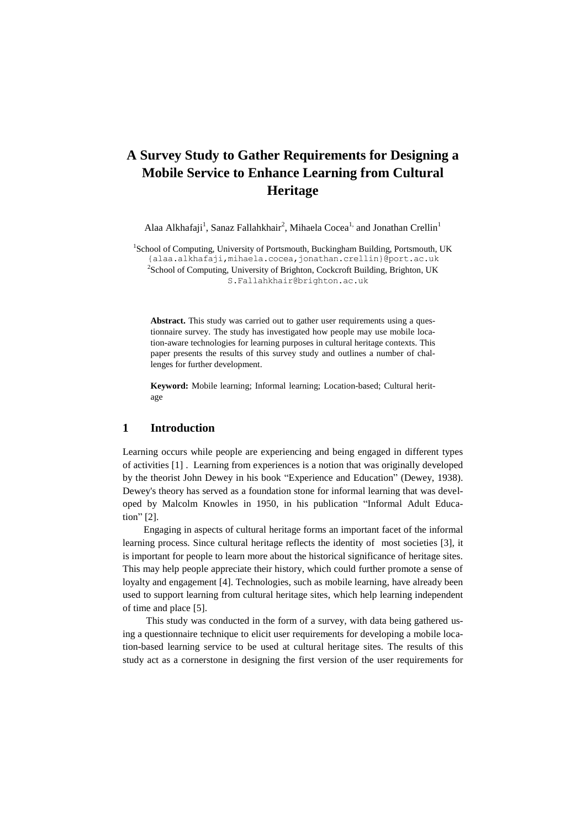# **A Survey Study to Gather Requirements for Designing a Mobile Service to Enhance Learning from Cultural Heritage**

Alaa Alkhafaji<sup>1</sup>, Sanaz Fallahkhair<sup>2</sup>, Mihaela Cocea<sup>1,</sup> and Jonathan Crellin<sup>1</sup>

<sup>1</sup>School of Computing, University of Portsmouth, Buckingham Building, Portsmouth, UK {alaa.alkhafaji,mihaela.cocea,jonathan.crellin}@port.ac.uk <sup>2</sup>School of Computing, University of Brighton, Cockcroft Building, Brighton, UK [S.Fallahkhair@brighton.ac.uk](mailto:S.Fallahkhair@brighton.ac.uk)

Abstract. This study was carried out to gather user requirements using a questionnaire survey. The study has investigated how people may use mobile location-aware technologies for learning purposes in cultural heritage contexts. This paper presents the results of this survey study and outlines a number of challenges for further development.

**Keyword:** Mobile learning; Informal learning; Location-based; Cultural heritage

# **1 Introduction**

Learning occurs while people are experiencing and being engaged in different types of activities [\[1\]](#page-3-0) . Learning from experiences is a notion that was originally developed by the theorist John Dewey in his book "Experience and Education" (Dewey, 1938). Dewey's theory has served as a foundation stone for informal learning that was developed by Malcolm Knowles in 1950, in his publication "Informal Adult Education" [\[2\]](#page-3-1).

Engaging in aspects of cultural heritage forms an important facet of the informal learning process. Since cultural heritage reflects the identity of most societies [\[3\]](#page-3-2), it is important for people to learn more about the historical significance of heritage sites. This may help people appreciate their history, which could further promote a sense of loyalty and engagement [\[4\]](#page-3-3). Technologies, such as mobile learning, have already been used to support learning from cultural heritage sites, which help learning independent of time and place [\[5\]](#page-3-4).

This study was conducted in the form of a survey, with data being gathered using a questionnaire technique to elicit user requirements for developing a mobile location-based learning service to be used at cultural heritage sites. The results of this study act as a cornerstone in designing the first version of the user requirements for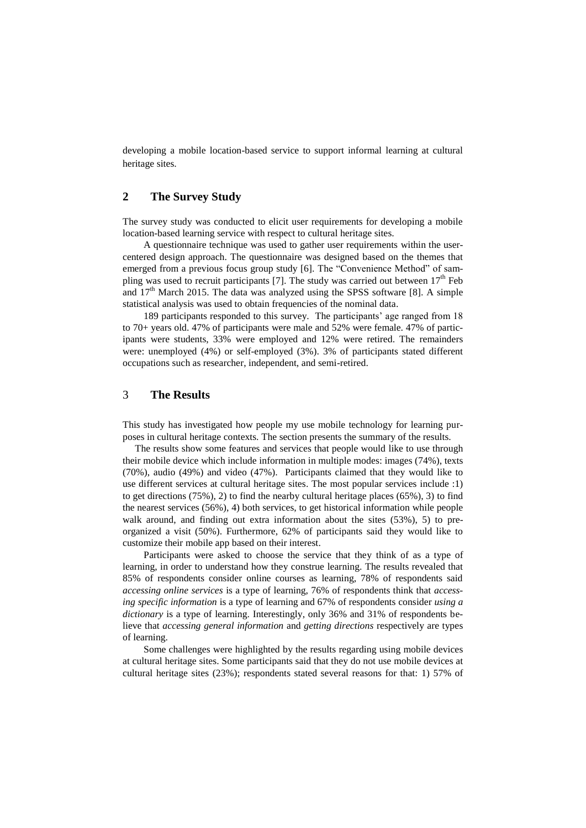developing a mobile location-based service to support informal learning at cultural heritage sites.

## **2 The Survey Study**

The survey study was conducted to elicit user requirements for developing a mobile location-based learning service with respect to cultural heritage sites.

A questionnaire technique was used to gather user requirements within the usercentered design approach. The questionnaire was designed based on the themes that emerged from a previous focus group study [\[6\]](#page-3-5). The "Convenience Method" of sam-pling was used to recruit participants [\[7\]](#page-3-6). The study was carried out between  $17<sup>th</sup>$  Feb and  $17<sup>th</sup>$  March 2015. The data was analyzed using the SPSS software [\[8\]](#page-3-7). A simple statistical analysis was used to obtain frequencies of the nominal data.

189 participants responded to this survey. The participants' age ranged from 18 to 70+ years old. 47% of participants were male and 52% were female. 47% of participants were students, 33% were employed and 12% were retired. The remainders were: unemployed (4%) or self-employed (3%). 3% of participants stated different occupations such as researcher, independent, and semi-retired.

# 3 **The Results**

This study has investigated how people my use mobile technology for learning purposes in cultural heritage contexts. The section presents the summary of the results.

 The results show some features and services that people would like to use through their mobile device which include information in multiple modes: images (74%), texts (70%), audio (49%) and video (47%). Participants claimed that they would like to use different services at cultural heritage sites. The most popular services include :1) to get directions (75%), 2) to find the nearby cultural heritage places (65%), 3) to find the nearest services (56%), 4) both services, to get historical information while people walk around, and finding out extra information about the sites (53%), 5) to preorganized a visit (50%). Furthermore, 62% of participants said they would like to customize their mobile app based on their interest.

Participants were asked to choose the service that they think of as a type of learning, in order to understand how they construe learning. The results revealed that 85% of respondents consider online courses as learning, 78% of respondents said *accessing online services* is a type of learning, 76% of respondents think that *accessing specific information* is a type of learning and 67% of respondents consider *using a dictionary* is a type of learning. Interestingly, only 36% and 31% of respondents believe that *accessing general information* and *getting directions* respectively are types of learning.

Some challenges were highlighted by the results regarding using mobile devices at cultural heritage sites. Some participants said that they do not use mobile devices at cultural heritage sites (23%); respondents stated several reasons for that: 1) 57% of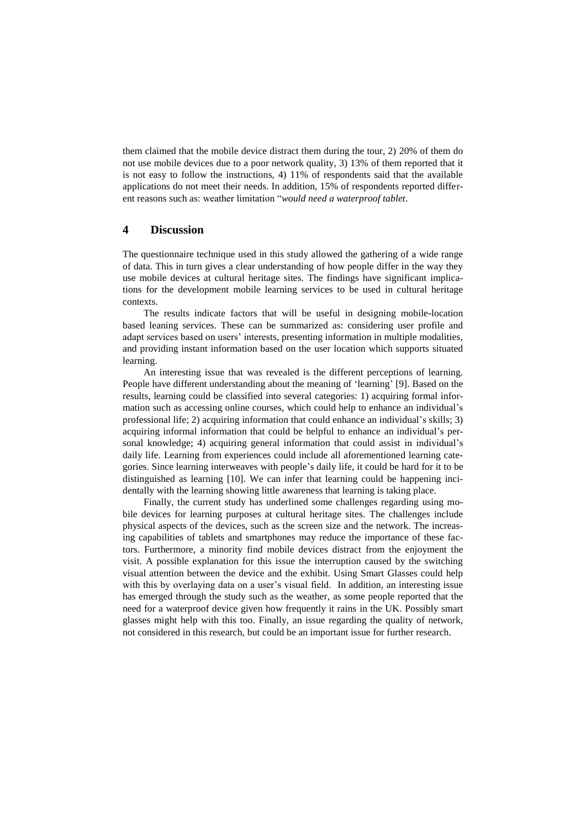them claimed that the mobile device distract them during the tour, 2) 20% of them do not use mobile devices due to a poor network quality, 3) 13% of them reported that it is not easy to follow the instructions, 4) 11% of respondents said that the available applications do not meet their needs. In addition, 15% of respondents reported different reasons such as: weather limitation "*would need a waterproof tablet*.

#### **4 Discussion**

The questionnaire technique used in this study allowed the gathering of a wide range of data. This in turn gives a clear understanding of how people differ in the way they use mobile devices at cultural heritage sites. The findings have significant implications for the development mobile learning services to be used in cultural heritage contexts.

The results indicate factors that will be useful in designing mobile-location based leaning services. These can be summarized as: considering user profile and adapt services based on users' interests, presenting information in multiple modalities, and providing instant information based on the user location which supports situated learning.

An interesting issue that was revealed is the different perceptions of learning. People have different understanding about the meaning of 'learning' [\[9\]](#page-3-8). Based on the results, learning could be classified into several categories: 1) acquiring formal information such as accessing online courses, which could help to enhance an individual's professional life; 2) acquiring information that could enhance an individual's skills; 3) acquiring informal information that could be helpful to enhance an individual's personal knowledge; 4) acquiring general information that could assist in individual's daily life. Learning from experiences could include all aforementioned learning categories. Since learning interweaves with people's daily life, it could be hard for it to be distinguished as learning [\[10\]](#page-3-9). We can infer that learning could be happening incidentally with the learning showing little awareness that learning is taking place.

Finally, the current study has underlined some challenges regarding using mobile devices for learning purposes at cultural heritage sites. The challenges include physical aspects of the devices, such as the screen size and the network. The increasing capabilities of tablets and smartphones may reduce the importance of these factors. Furthermore, a minority find mobile devices distract from the enjoyment the visit. A possible explanation for this issue the interruption caused by the switching visual attention between the device and the exhibit. Using Smart Glasses could help with this by overlaying data on a user's visual field. In addition, an interesting issue has emerged through the study such as the weather, as some people reported that the need for a waterproof device given how frequently it rains in the UK. Possibly smart glasses might help with this too. Finally, an issue regarding the quality of network, not considered in this research, but could be an important issue for further research.